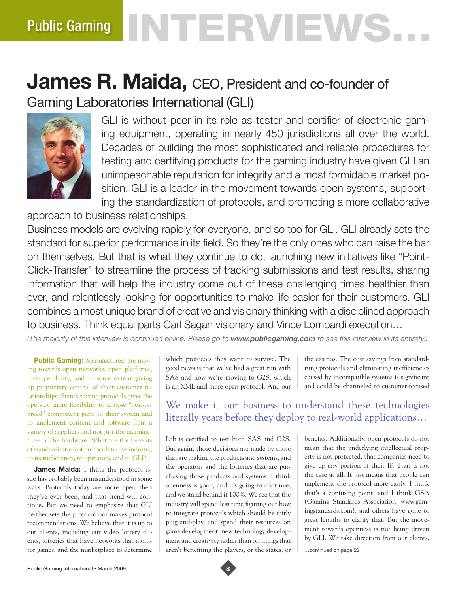# **INTERVIEWS** Public Gaming

## **James R. Maida, CEO, President and co-founder of** Gaming Laboratories International (GLI)



GLI is without peer in its role as tester and certifier of electronic gaming equipment, operating in nearly 450 jurisdictions all over the world. Decades of building the most sophisticated and reliable procedures for testing and certifying products for the gaming industry have given GLI an unimpeachable reputation for integrity and a most formidable market position. GLI is a leader in the movement towards open systems, supporting the standardization of protocols, and promoting a more collaborative

approach to business relationships.

Business models are evolving rapidly for everyone, and so too for GLI. GLI already sets the standard for superior performance in its field. So they're the only ones who can raise the bar on themselves. But that is what they continue to do, launching new initiatives like "Point-Click-Transfer" to streamline the process of tracking submissions and test results, sharing information that will help the industry come out of these challenging times healthier than ever, and relentlessly looking for opportunities to make life easier for their customers. GLI combines a most unique brand of creative and visionary thinking with a disciplined approach to business. Think equal parts Carl Sagan visionary and Vince Lombardi execution…

*(The majority of this interview is continued online. Please go to www.publicgaming.com to see this interview in its entirety.)*

**Public Gaming:** Manufacturers are moving towards open networks, open platforms, interoperability, and to some extent giving up proprietary control of their customer relationships. Standardizing protocols gives the operator more flexibility to choose "best-ofbreed" component parts to their system and to implement content and software from a variety of suppliers and not just the manufacturer of the hardware. What are the benefits of standardization of protocols to the industry, to manufacturers, to operators, and to GLI?

**James Maida:** I think the protocol issue has probably been misunderstood in some ways. Protocols today are more open then they've ever been, and that trend will continue. But we need to emphasize that GLI neither sets the protocol nor makes protocol recommendations. We believe that it is up to our clients, including our video lottery clients, lotteries that have networks that monitor games, and the marketplace to determine

which protocols they want to survive. The good news is that we've had a great run with SAS and now we're moving to G2S, which is an XML and more open protocol. And our

the casinos. The cost savings from standardizing protocols and eliminating inefficiencies caused by incompatible systems is significant and could be channeled to customer-focused

We make it our business to understand these technologies literally years before they deploy to real-world applications…

Lab is certified to test both SAS and G2S. But again, those decisions are made by those that are making the products and systems, and the operators and the lotteries that are purchasing those products and systems. I think openness is good, and it's going to continue, and we stand behind it 100%. We see that the industry will spend less time figuring out how to integrate protocols which should be fairly plug-and-play, and spend their resources on game development, new technology development and creativity rather than on things that aren't benefiting the players, or the states, or

benefits. Additionally, open protocols do not mean that the underlying intellectual property is not protected, that companies need to give up any portion of their IP. That is not the case at all. It just means that people can implement the protocol more easily. I think that's a confusing point, and I think GSA (Gaming Standards Association, www.gamingstandards.com), and others have gone to great lengths to clarify that. But the movement towards openness is not being driven by GLI. We take direction from our clients,

…continued on page 22

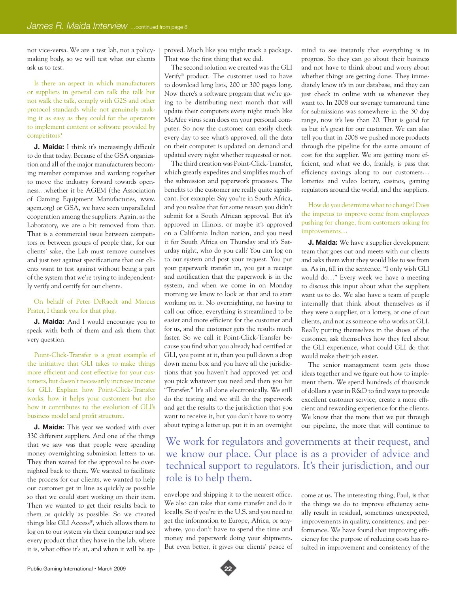not vice-versa. We are a test lab, not a policymaking body, so we will test what our clients ask us to test.

Is there an aspect in which manufacturers or suppliers in general can talk the talk but not walk the talk, comply with G2S and other protocol standards while not genuinely making it as easy as they could for the operators to implement content or software provided by competitors?

**J. Maida:** I think it's increasingly difficult to do that today. Because of the GSA organization and all of the major manufacturers becoming member companies and working together to move the industry forward towards openness…whether it be AGEM (the Association of Gaming Equipment Manufactures, www. agem.org) or GSA, we have seen unparalleled cooperation among the suppliers. Again, as the Laboratory, we are a bit removed from that. That is a commercial issue between competitors or between groups of people that, for our clients' sake, the Lab must remove ourselves and just test against specifications that our clients want to test against without being a part of the system that we're trying to independently verify and certify for our clients.

#### On behalf of Peter DeRaedt and Marcus Prater, I thank you for that plug.

**J. Maida:** And I would encourage you to speak with both of them and ask them that very question.

Point-Click-Transfer is a great example of the initiative that GLI takes to make things more efficient and cost effective for your customers, but doesn't necessarily increase income for GLI. Explain how Point-Click-Transfer works, how it helps your customers but also how it contributes to the evolution of GLI's business model and profit structure.

**J. Maida:** This year we worked with over 330 different suppliers. And one of the things that we saw was that people were spending money overnighting submission letters to us. They then waited for the approval to be overnighted back to them. We wanted to facilitate the process for our clients, we wanted to help our customer get in line as quickly as possible so that we could start working on their item. Then we wanted to get their results back to them as quickly as possible. So we created things like GLI Access®, which allows them to log on to our system via their computer and see every product that they have in the lab, where it is, what office it's at, and when it will be approved. Much like you might track a package. That was the first thing that we did.

The second solution we created was the GLI Verify® product. The customer used to have to download long lists, 200 or 300 pages long. Now there's a software program that we're going to be distributing next month that will update their computers every night much like McAfee virus scan does on your personal computer. So now the customer can easily check every day to see what's approved, all the data on their computer is updated on demand and updated every night whether requested or not.

The third creation was Point-Click-Transfer, which greatly expedites and simplifies much of the submission and paperwork processes. The benefits to the customer are really quite significant. For example: Say you're in South Africa, and you realize that for some reason you didn't submit for a South African approval. But it's approved in Illinois, or maybe it's approved on a California Indian nation, and you need it for South Africa on Thursday and it's Saturday night, who do you call? You can log on to our system and post your request. You put your paperwork transfer in, you get a receipt and notification that the paperwork is in the system, and when we come in on Monday morning we know to look at that and to start working on it. No overnighting, no having to call our office, everything is streamlined to be easier and more efficient for the customer and for us, and the customer gets the results much faster. So we call it Point-Click-Transfer because you find what you already had certified at GLI, you point at it, then you pull down a drop down menu box and you have all the jurisdictions that you haven't had approved yet and you pick whatever you need and then you hit "Transfer." It's all done electronically. We still do the testing and we still do the paperwork and get the results to the jurisdiction that you want to receive it, but you don't have to worry about typing a letter up, put it in an overnight mind to see instantly that everything is in progress. So they can go about their business and not have to think about and worry about whether things are getting done. They immediately know it's in our database, and they can just check in online with us whenever they want to. In 2008 our average turnaround time for submissions was somewhere in the 30 day range, now it's less than 20. That is good for us but it's great for our customer. We can also tell you that in 2008 we pushed more products through the pipeline for the same amount of cost for the supplier. We are getting more efficient, and what we do, frankly, is pass that efficiency savings along to our customers… lotteries and video lottery, casinos, gaming regulators around the world, and the suppliers.

#### How do you determine what to change? Does the impetus to improve come from employees pushing for change, from customers asking for improvements…

**J. Maida:** We have a supplier development team that goes out and meets with our clients and asks them what they would like to see from us. As in, fill in the sentence, "I only wish GLI would do…" Every week we have a meeting to discuss this input about what the suppliers want us to do. We also have a team of people internally that think about themselves as if they were a supplier, or a lottery, or one of our clients, and not as someone who works at GLI. Really putting themselves in the shoes of the customer, ask themselves how they feel about the GLI experience, what could GLI do that would make their job easier.

The senior management team gets those ideas together and we figure out how to implement them. We spend hundreds of thousands of dollars a year in R&D to find ways to provide excellent customer service, create a more efficient and rewarding experience for the clients. We know that the more that we put through our pipeline, the more that will continue to

We work for regulators and governments at their request, and we know our place. Our place is as a provider of advice and technical support to regulators. It's their jurisdiction, and our role is to help them.

envelope and shipping it to the nearest office. We also can take that same transfer and do it locally. So if you're in the U.S. and you need to get the information to Europe, Africa, or anywhere, you don't have to spend the time and money and paperwork doing your shipments. But even better, it gives our clients' peace of

come at us. The interesting thing, Paul, is that the things we do to improve efficiency actually result in residual, sometimes unexpected, improvements in quality, consistency, and performance. We have found that improving efficiency for the purpose of reducing costs has resulted in improvement and consistency of the

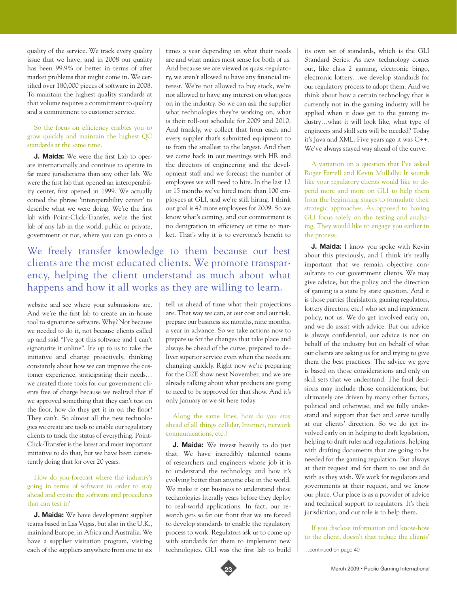quality of the service. We track every quality issue that we have, and in 2008 our quality has been 99.9% or better in terms of after market problems that might come in. We certified over 180,000 pieces of software in 2008. To maintain the highest quality standards at that volume requires a commitment to quality and a commitment to customer service.

#### So the focus on efficiency enables you to grow quickly and maintain the highest QC standards at the same time.

**J. Maida:** We were the first Lab to operate internationally and continue to operate in far more jurisdictions than any other lab. We were the first lab that opened an interoperability center, first opened in 1999. We actually coined the phrase 'interoperability center' to describe what we were doing. We're the first lab with Point-Click-Transfer, we're the first lab of any lab in the world, public or private, government or not, where you can go onto a

times a year depending on what their needs are and what makes most sense for both of us. And because we are viewed as quasi-regulatory, we aren't allowed to have any financial interest. We're not allowed to buy stock, we're not allowed to have any interest on what goes on in the industry. So we can ask the supplier what technologies they're working on, what is their roll-out schedule for 2009 and 2010. And frankly, we collect that from each and every suppler that's submitted equipment to us from the smallest to the largest. And then we come back in our meetings with HR and the directors of engineering and the development staff and we forecast the number of employees we will need to hire. In the last 12 or 15 months we've hired more than 100 employees at GLI, and we're still hiring. I think our goal is 42 more employees for 2009. So we know what's coming, and our commitment is no denigration in efficiency or time to market. That's why it is to everyone's benefit to

### We freely transfer knowledge to them because our best clients are the most educated clients. We promote transparency, helping the client understand as much about what happens and how it all works as they are willing to learn.

website and see where your submissions are. And we're the first lab to create an in-house tool to signaturize software. Why? Not because we needed to do it, not because clients called up and said "I've got this software and I can't signaturize it online". It's up to us to take the initiative and change proactively, thinking constantly about how we can improve the customer experience, anticipating their needs… we created those tools for our government clients free of charge because we realized that if we approved something that they can't test on the floor, how do they get it in on the floor? They can't. So almost all the new technologies we create are tools to enable our regulatory clients to track the status of everything. Point-Click-Transfer is the latest and most important initiative to do that, but we have been consistently doing that for over 20 years.

#### How do you forecast where the industry's going in terms of software in order to stay ahead and create the software and procedures that can test it?

**J. Maida:** We have development supplier teams based in Las Vegas, but also in the U.K., mainland Europe, in Africa and Australia. We have a supplier visitation program, visiting each of the suppliers anywhere from one to six

tell us ahead of time what their projections are. That way we can, at our cost and our risk, prepare our business six months, nine months, a year in advance. So we take actions now to prepare us for the changes that take place and always be ahead of the curve, prepared to deliver superior service even when the needs are changing quickly. Right now we're preparing for the G2E show next November, and we are already talking about what products are going to need to be approved for that show. And it's only January as we sit here today.

#### Along the same lines, how do you stay ahead of all things cellular, Internet, network communications, etc.?

**J. Maida:** We invest heavily to do just that. We have incredibly talented teams of researchers and engineers whose job it is to understand the technology and how it's evolving better than anyone else in the world. We make it our business to understand these technologies literally years before they deploy to real-world applications. In fact, our research gets so far out front that we are forced to develop standards to enable the regulatory process to work. Regulators ask us to come up with standards for them to implement new technologies. GLI was the first lab to build

its own set of standards, which is the GLI Standard Series. As new technology comes out, like class 2 gaming, electronic bingo, electronic lottery…we develop standards for our regulatory process to adopt them. And we think about how a certain technology that is currently not in the gaming industry will be applied when it does get to the gaming industry…what it will look like, what type of engineers and skill sets will be needed? Today it's Java and XML. Five years ago it was C++. We've always stayed way ahead of the curve.

A variation on a question that I've asked Roger Farrell and Kevin Mullally: It sounds like your regulatory clients would like to depend more and more on GLI to help them from the beginning stages to formulate their strategic approaches. As opposed to having GLI focus solely on the testing and analyzing, They would like to engage you earlier in the process.

**J. Maida:** I know you spoke with Kevin about this previously, and I think it's really important that we remain objective consultants to our government clients. We may give advice, but the policy and the direction of gaming is a state by state question. And it is those parties (legislators, gaming regulators, lottery directors, etc.) who set and implement policy, not us. We do get involved early on, and we do assist with advice. But our advice is always confidential, our advice is not on behalf of the industry but on behalf of what our clients are asking us for and trying to give them the best practices. The advice we give is based on those considerations and only on skill sets that we understand. The final decisions may include those considerations, but ultimately are driven by many other factors, political and otherwise, and we fully understand and support that fact and serve totally at our clients' direction. So we do get involved early on in helping to draft legislation, helping to draft rules and regulations, helping with drafting documents that are going to be needed for the gaming regulation. But always at their request and for them to use and do with as they wish. We work for regulators and governments at their request, and we know our place. Our place is as a provider of advice and technical support to regulators. It's their jurisdiction, and our role is to help them.

If you disclose information and know-how to the client, doesn't that reduce the clients'

…continued on page 40

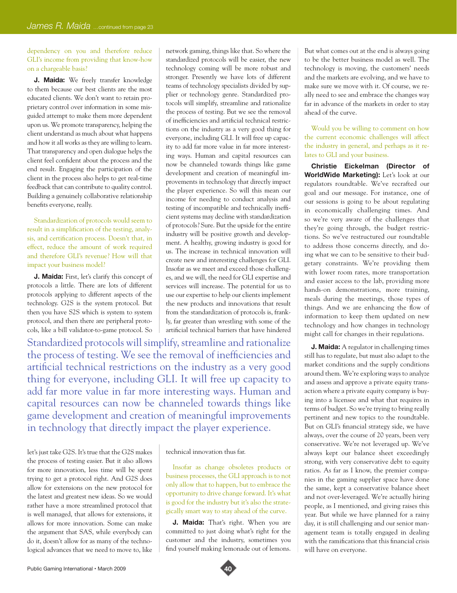#### dependency on you and therefore reduce GLI's income from providing that know-how on a chargeable basis?

**J. Maida:** We freely transfer knowledge to them because our best clients are the most educated clients. We don't want to retain proprietary control over information in some misguided attempt to make them more dependent upon us. We promote transparency, helping the client understand as much about what happens and how it all works as they are willing to learn. That transparency and open dialogue helps the client feel confident about the process and the end result. Engaging the participation of the client in the process also helps to get real-time feedback that can contribute to quality control. Building a genuinely collaborative relationship benefits everyone, really.

Standardization of protocols would seem to result in a simplification of the testing, analysis, and certification process. Doesn't that, in effect, reduce the amount of work required and therefore GLI's revenue? How will that impact your business model?

**J. Maida:** First, let's clarify this concept of protocols a little. There are lots of different protocols applying to different aspects of the technology. G2S is the system protocol. But then you have S2S which is system to system protocol, and then there are peripheral protocols, like a bill validator-to-game protocol. So

Standardized protocols will simplify, streamline and rationalize the process of testing. We see the removal of inefficiencies and artificial technical restrictions on the industry as a very good thing for everyone, including GLI. It will free up capacity to add far more value in far more interesting ways. Human and capital resources can now be channeled towards things like game development and creation of meaningful improvements in technology that directly impact the player experience.

let's just take G2S. It's true that the G2S makes the process of testing easier. But it also allows for more innovation, less time will be spent trying to get a protocol right. And G2S does allow for extensions on the new protocol for the latest and greatest new ideas. So we would rather have a more streamlined protocol that is well managed, that allows for extensions, it allows for more innovation. Some can make the argument that SAS, while everybody can do it, doesn't allow for as many of the technological advances that we need to move to, like

network gaming, things like that. So where the standardized protocols will be easier, the new technology coming will be more robust and stronger. Presently we have lots of different teams of technology specialists divided by supplier or technology genre. Standardized protocols will simplify, streamline and rationalize the process of testing. But we see the removal of inefficiencies and artificial technical restrictions on the industry as a very good thing for everyone, including GLI. It will free up capacity to add far more value in far more interesting ways. Human and capital resources can now be channeled towards things like game development and creation of meaningful improvements in technology that directly impact the player experience. So will this mean our income for needing to conduct analysis and testing of incompatible and technically inefficient systems may decline with standardization of protocols? Sure. But the upside for the entire industry will be positive growth and development. A healthy, growing industry is good for us. The increase in technical innovation will create new and interesting challenges for GLI. Insofar as we meet and exceed those challenges, and we will, the need for GLI expertise and services will increase. The potential for us to use our expertise to help our clients implement the new products and innovations that result from the standardization of protocols is, frankly, far greater than wrestling with some of the artificial technical barriers that have hindered

But what comes out at the end is always going to be the better business model as well. The technology is moving, the customers' needs and the markets are evolving, and we have to make sure we move with it. Of course, we really need to see and embrace the changes way far in advance of the markets in order to stay ahead of the curve.

Would you be willing to comment on how the current economic challenges will affect the industry in general, and perhaps as it relates to GLI and your business.

**Christie Eickelman (Director of WorldWide Marketing):** Let's look at our regulators roundtable. We've recrafted our goal and our message. For instance, one of our sessions is going to be about regulating in economically challenging times. And so we're very aware of the challenges that they're going through, the budget restrictions. So we've restructured our roundtable to address those concerns directly, and doing what we can to be sensitive to their budgetary constraints. We're providing them with lower room rates, more transportation and easier access to the lab, providing more hands-on demonstrations, more training, meals during the meetings, those types of things. And we are enhancing the flow of information to keep them updated on new technology and how changes in technology might call for changes in their regulations.

**J. Maida:** A regulator in challenging times still has to regulate, but must also adapt to the market conditions and the supply conditions around them. We're exploring ways to analyze and assess and approve a private equity transaction where a private equity company is buying into a licensee and what that requires in terms of budget. So we're trying to bring really pertinent and new topics to the roundtable. But on GLI's financial strategy side, we have always, over the course of 20 years, been very conservative. We're not leveraged up. We've always kept our balance sheet exceedingly strong, with very conservative debt to equity ratios. As far as I know, the premier companies in the gaming supplier space have done the same, kept a conservative balance sheet and not over-leveraged. We're actually hiring people, as I mentioned, and giving raises this year. But while we have planned for a rainy day, it is still challenging and our senior management team is totally engaged in dealing with the ramifications that this financial crisis will have on everyone.

#### technical innovation thus far.

Insofar as change obsoletes products or business processes, the GLI approach is to not only allow that to happen, but to embrace the opportunity to drive change forward. It's what is good for the industry but it's also the strategically smart way to stay ahead of the curve.

**J. Maida:** That's right. When you are committed to just doing what's right for the customer and the industry, sometimes you find yourself making lemonade out of lemons.